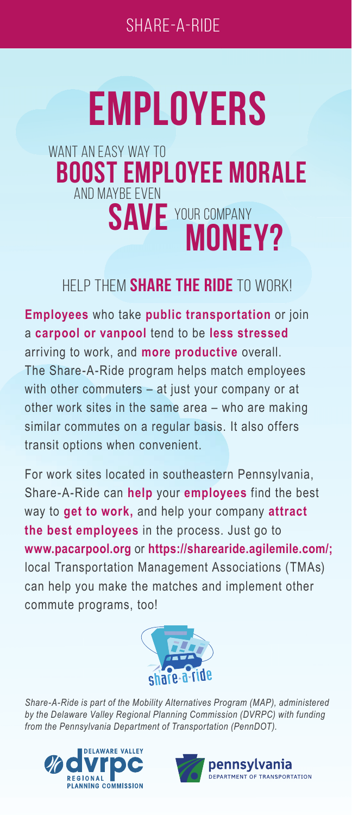## **EMPLOYERS**

## WANT AN FASY WAY TO **BOOST EMPLOYEE MORALE** AND MAYBE EVEN **SAVE** YOUR COMPANY **MONEY?**

## HELP THEM **SHARE THE RIDE** TO WORK!

**Employees** who take **public transportation** or join a **carpool or vanpool** tend to be **less stressed** arriving to work, and **more productive** overall. The Share-A-Ride program helps match employees with other commuters – at just your company or at other work sites in the same area – who are making similar commutes on a regular basis. It also offers transit options when convenient.

For work sites located in southeastern Pennsylvania, Share-A-Ride can **help** your **employees** find the best way to **get to work,** and help your company **attract the best employees** in the process. Just go to **www.pacarpool.org** or **https://sharearide.agilemile.com/;** local Transportation Management Associations (TMAs) can help you make the matches and implement other commute programs, too!



*Share-A-Ride is part of the Mobility Alternatives Program (MAP), administered by the Delaware Valley Regional Planning Commission (DVRPC) with funding from the Pennsylvania Department of Transportation (PennDOT).*